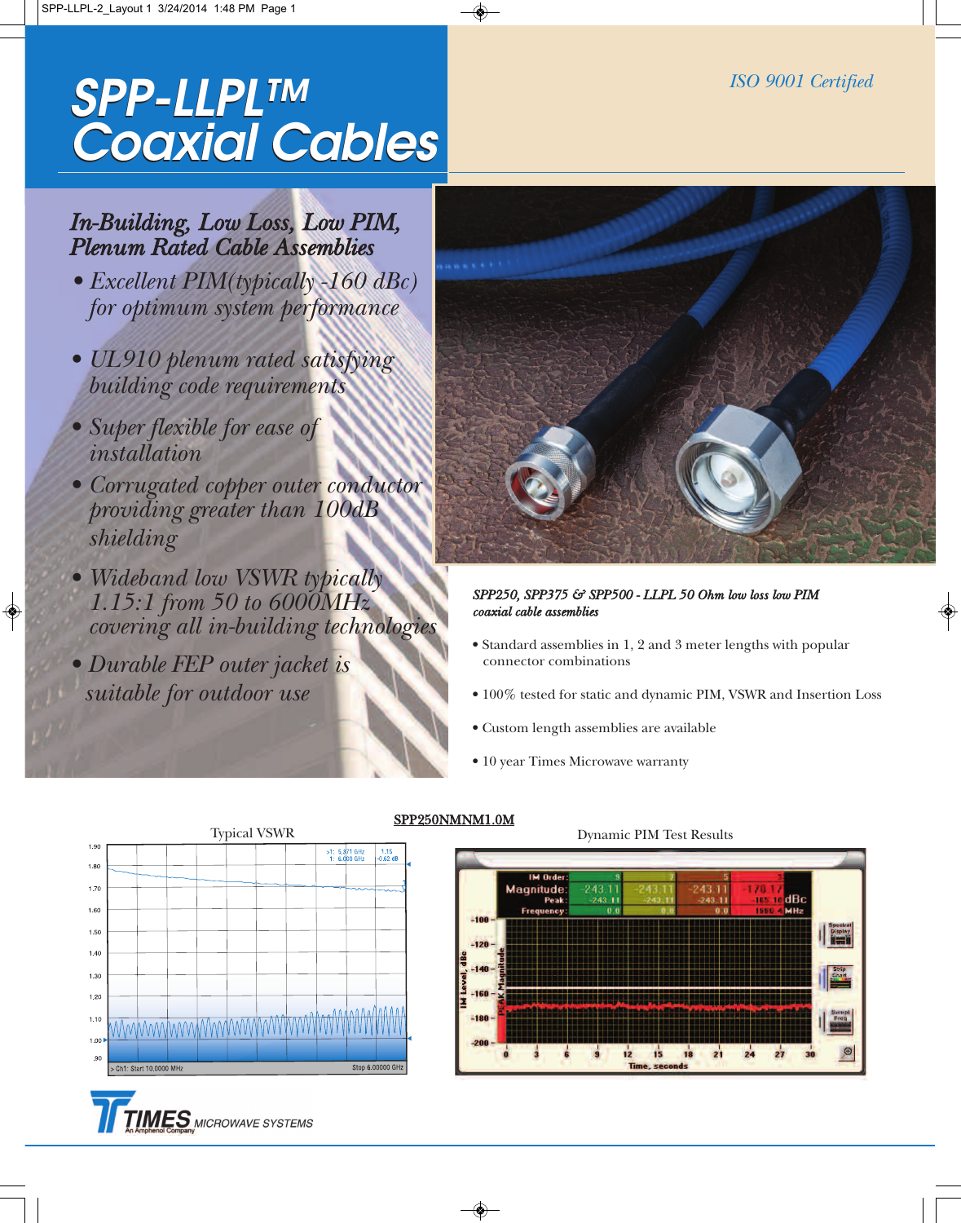### *SPP-LLPL™ Coaxial Cables SPP-LLPL™ Coaxial Cables*

## *In-Building, Low Loss, Low PIM, Plenum Rated Cable Assemblies*

- *• Excellent PIM(typically -160 dBc) for optimum system performance*
- *• UL910 plenum rated satisfying building code requirements*
- *• Super flexible for ease of installation*
- *• Corrugated copper outer conductor providing greater than 100dB shielding*
- *• Wideband low VSWR typically 1.15:1 from 50 to 6000MHz covering all in-building technologies*
- *• Durable FEP outer jacket is suitable for outdoor use*



#### *SPP250, SPP375 & SPP500 - LLPL 50 Ohm low loss low PIM coaxial cable assemblies*

- Standard assemblies in 1, 2 and 3 meter lengths with popular connector combinations
- 100% tested for static and dynamic PIM, VSWR and Insertion Loss
- Custom length assemblies are available
- 10 year Times Microwave warranty



**MES** MICROWAVE SYSTEMS

### SPP250NMNM1.0M

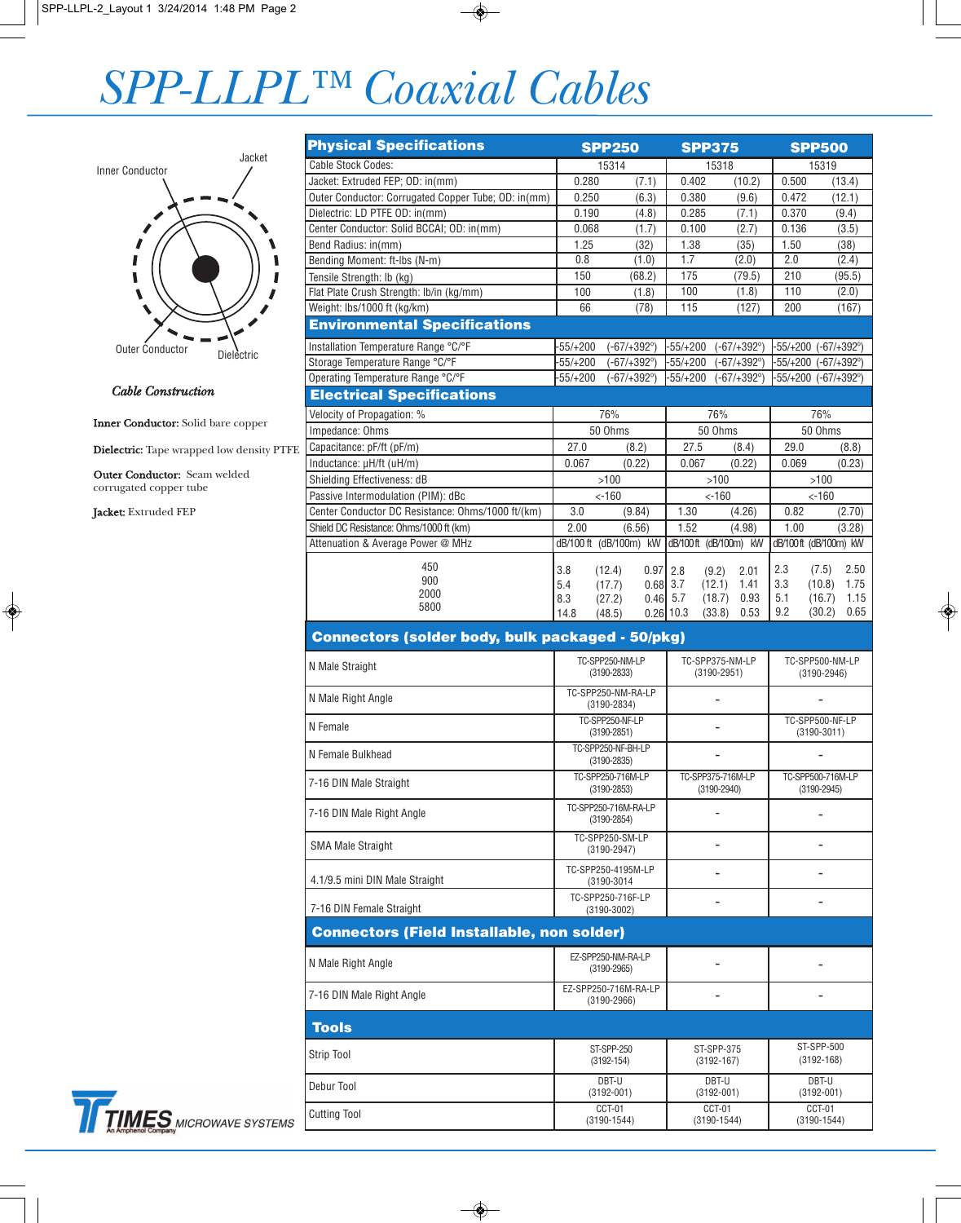# *SPP-LLPL™ Coaxial Cables*



#### *Cable Construction*

Inner Conductor: Solid bare copper

Dielectric: Tape wrapped low density PTFE

Outer Conductor: Seam welded corrugated copper tube

Jacket: Extruded FEP

| <b>Physical Specifications</b>                          |                                                            | <b>SPP250</b>                  |                                     | <b>SPP375</b>                   |                                    | <b>SPP500</b>                   |  |
|---------------------------------------------------------|------------------------------------------------------------|--------------------------------|-------------------------------------|---------------------------------|------------------------------------|---------------------------------|--|
| <b>Cable Stock Codes:</b>                               |                                                            | 15314                          |                                     | 15318                           |                                    | 15319                           |  |
| Jacket: Extruded FEP; OD: in(mm)                        | 0.280                                                      | (7.1)                          | 0.402                               | (10.2)                          | 0.500                              | (13.4)                          |  |
| Outer Conductor: Corrugated Copper Tube; OD: in(mm)     | 0.250                                                      | (6.3)                          | 0.380                               | (9.6)                           | 0.472                              | (12.1)                          |  |
| Dielectric: LD PTFE OD: in(mm)                          | 0.190                                                      | (4.8)                          | 0.285                               | (7.1)                           | 0.370                              | (9.4)                           |  |
| Center Conductor: Solid BCCAI; OD: in(mm)               | 0.068                                                      | (1.7)                          | 0.100                               | (2.7)                           | 0.136                              | (3.5)                           |  |
| Bend Radius: in(mm)                                     | 1.25                                                       | (32)                           | 1.38                                | (35)                            | 1.50                               | (38)                            |  |
| Bending Moment: ft-lbs (N-m)                            | 0.8                                                        | (1.0)                          | 1.7                                 | (2.0)                           | 2.0                                | (2.4)                           |  |
| Tensile Strength: Ib (kg)                               | 150                                                        | (68.2)                         | 175                                 | (79.5)                          | 210                                | (95.5)                          |  |
| Flat Plate Crush Strength: lb/in (kg/mm)                | 100                                                        | (1.8)                          | 100                                 | (1.8)                           | 110                                | (2.0)                           |  |
| Weight: lbs/1000 ft (kg/km)                             | 66                                                         | (78)                           | 115                                 | (127)                           | 200                                | (167)                           |  |
| <b>Environmental Specifications</b>                     |                                                            |                                |                                     |                                 |                                    |                                 |  |
| Installation Temperature Range °C/°F                    | $-55/+200$                                                 | $(-67/ + 392^{\circ})$         | -55/+200                            | (-67/+392°)                     |                                    | -55/+200 (-67/+392°)            |  |
| Storage Temperature Range °C/°F                         | $-55/+200$                                                 | $(-67/ + 392^{\circ})$         | $-55/+200$                          | $(-67/ + 392^{\circ})$          |                                    | -55/+200 (-67/+392°)            |  |
| Operating Temperature Range °C/°F                       | $-55/+200$                                                 | $(-67/ + 392^{\circ})$         | $-55/+200$                          | $(-67/ + 392^{\circ})$          |                                    | -55/+200 (-67/+392°)            |  |
| <b>Electrical Specifications</b>                        |                                                            |                                |                                     |                                 |                                    |                                 |  |
| Velocity of Propagation: %                              | 76%                                                        |                                | 76%                                 |                                 | 76%                                |                                 |  |
| Impedance: Ohms                                         | 50 Ohms                                                    |                                | 50 Ohms                             |                                 | 50 Ohms                            |                                 |  |
| Capacitance: pF/ft (pF/m)                               | 27.0                                                       | (8.2)                          | 27.5                                | (8.4)                           | 29.0                               | (8.8)                           |  |
| Inductance: µH/ft (uH/m)                                | 0.067                                                      | (0.22)                         | 0.067                               | (0.22)                          | 0.069                              | (0.23)                          |  |
| Shielding Effectiveness: dB                             | >100                                                       |                                | $>100$                              |                                 | >100                               |                                 |  |
| Passive Intermodulation (PIM): dBc                      | $< -160$                                                   |                                | $< -160$                            |                                 | $< -160$                           |                                 |  |
| Center Conductor DC Resistance: Ohms/1000 ft/(km)       | 3.0                                                        | (9.84)                         |                                     | 1.30<br>(4.26)                  |                                    | 0.82<br>(2.70)                  |  |
| Shield DC Resistance: Ohms/1000 ft (km)                 | 2.00                                                       | (6.56)                         | 1.52                                | (4.98)                          | 1.00                               | (3.28)                          |  |
| Attenuation & Average Power @ MHz                       | dB/100 ft                                                  | (dB/100m) kW                   |                                     | dB/100ft (dB/100m) kW           |                                    | dB/100ft (dB/100m) kW           |  |
| 450<br>900                                              | 3.8<br>5.4                                                 | (12.4)<br>$0.97$ 2.8<br>(17.7) | $0.68$ 3.7                          | (9.2)<br>2.01<br>(12.1)<br>1.41 | 2.3<br>3.3                         | (7.5)<br>2.50<br>(10.8)<br>1.75 |  |
| 2000<br>5800                                            | 8.3                                                        | (27.2)                         | $0.46$ 5.7                          | (18.7)<br>0.93                  | 5.1                                | (16.7)<br>1.15                  |  |
|                                                         | 14.8                                                       | (48.5)                         | $0.26$ 10.3                         | 0.53<br>(33.8)                  | 9.2                                | (30.2)<br>0.65                  |  |
| <b>Connectors (solder body, bulk packaged - 50/pkg)</b> |                                                            |                                |                                     |                                 |                                    |                                 |  |
| N Male Straight                                         | TC-SPP250-NM-LP<br>$(3190 - 2833)$                         |                                | TC-SPP375-NM-LP<br>$(3190 - 2951)$  |                                 | TC-SPP500-NM-LP<br>$(3190 - 2946)$ |                                 |  |
| N Male Right Angle                                      | TC-SPP250-NM-RA-LP<br>$(3190 - 2834)$                      |                                |                                     |                                 |                                    |                                 |  |
| N Female                                                | TC-SPP250-NF-LP<br>$(3190 - 2851)$                         |                                |                                     |                                 | TC-SPP500-NF-LP<br>$(3190 - 3011)$ |                                 |  |
| N Female Bulkhead                                       | TC-SPP250-NF-BH-LP<br>$(3190 - 2835)$<br>TC-SPP250-716M-LP |                                | TC-SPP375-716M-LP                   |                                 | TC-SPP500-716M-LP                  |                                 |  |
| 7-16 DIN Male Straight                                  | $(3190 - 2853)$<br>TC-SPP250-716M-RA-LP                    |                                | $(3190 - 2940)$                     |                                 | $(3190 - 2945)$                    |                                 |  |
| 7-16 DIN Male Right Angle                               | $(3190 - 2854)$                                            |                                |                                     |                                 |                                    |                                 |  |
| <b>SMA Male Straight</b>                                | TC-SPP250-SM-LP<br>$(3190 - 2947)$                         |                                |                                     |                                 |                                    |                                 |  |
| 4.1/9.5 mini DIN Male Straight                          | TC-SPP250-4195M-LP<br>(3190-3014                           |                                |                                     |                                 |                                    |                                 |  |
| 7-16 DIN Female Straight                                | TC-SPP250-716F-LP<br>$(3190 - 3002)$                       |                                |                                     |                                 |                                    |                                 |  |
| <b>Connectors (Field Installable, non solder)</b>       |                                                            |                                |                                     |                                 |                                    |                                 |  |
| N Male Right Angle                                      | EZ-SPP250-NM-RA-LP<br>$(3190 - 2965)$                      |                                |                                     |                                 |                                    |                                 |  |
| 7-16 DIN Male Right Angle                               | EZ-SPP250-716M-RA-LP<br>$(3190 - 2966)$                    |                                |                                     |                                 |                                    |                                 |  |
| <b>Tools</b>                                            |                                                            |                                |                                     |                                 |                                    |                                 |  |
| <b>Strip Tool</b>                                       | ST-SPP-250<br>$(3192 - 154)$                               |                                | <b>ST-SPP-375</b><br>$(3192 - 167)$ |                                 | ST-SPP-500<br>$(3192 - 168)$       |                                 |  |
| Debur Tool                                              | DBT-U<br>$(3192 - 001)$                                    |                                | DBT-U<br>$(3192 - 001)$             |                                 | DBT-U<br>$(3192 - 001)$            |                                 |  |
| <b>Cutting Tool</b>                                     | CCT-01<br>$(3190 - 1544)$                                  |                                | CCT-01<br>$(3190 - 1544)$           |                                 | CCT-01<br>$(3190 - 1544)$          |                                 |  |

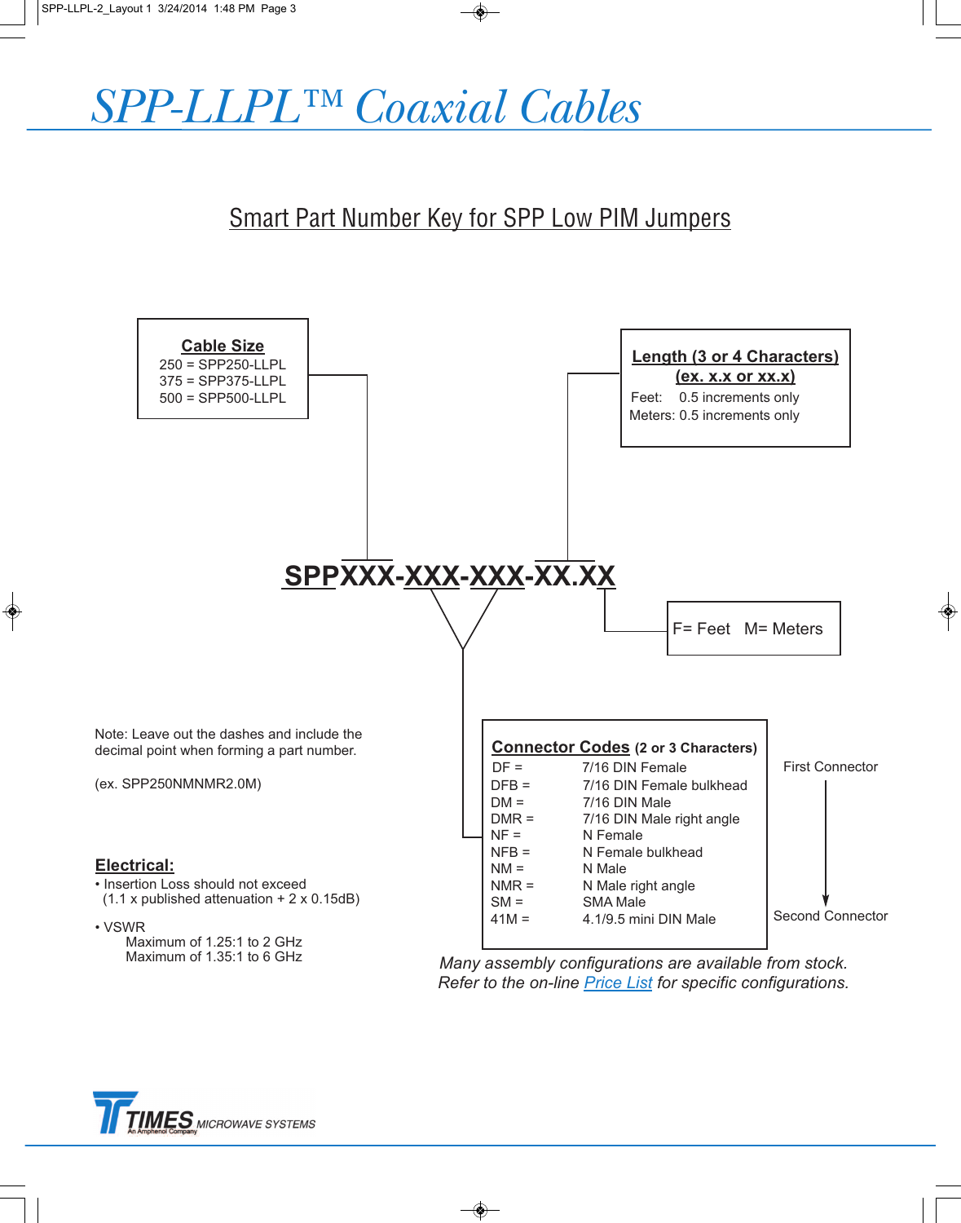

# Smart Part Number Key for SPP Low PIM Jumpers



*Many assembly configurations are available from stock. Refer to the on-line Price List for specific configurations.*